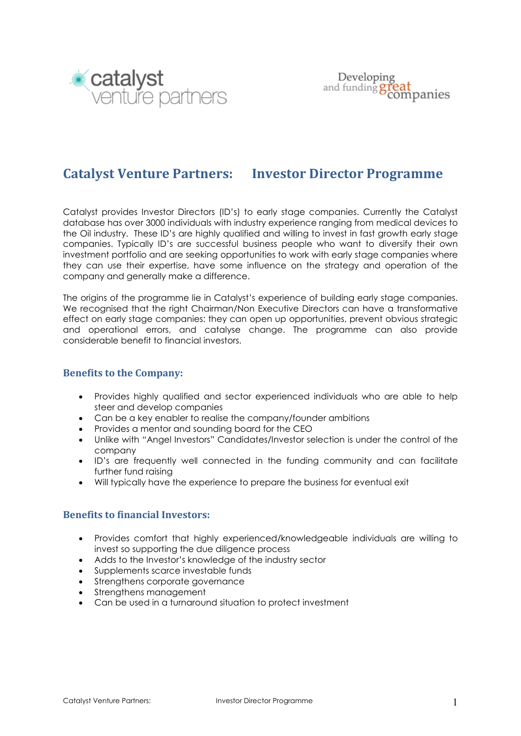

# **Catalyst Venture Partners: Investor Director Programme**

Catalyst provides Investor Directors (ID's) to early stage companies. Currently the Catalyst database has over 3000 individuals with industry experience ranging from medical devices to the Oil industry. These ID's are highly qualified and willing to invest in fast growth early stage companies. Typically ID's are successful business people who want to diversify their own investment portfolio and are seeking opportunities to work with early stage companies where they can use their expertise, have some influence on the strategy and operation of the company and generally make a difference.

The origins of the programme lie in Catalyst's experience of building early stage companies. We recognised that the right Chairman/Non Executive Directors can have a transformative effect on early stage companies: they can open up opportunities, prevent obvious strategic and operational errors, and catalyse change. The programme can also provide considerable benefit to financial investors.

#### **Benefits to the Company:**

- Provides highly qualified and sector experienced individuals who are able to help steer and develop companies
- Can be a key enabler to realise the company/founder ambitions
- Provides a mentor and sounding board for the CEO
- Unlike with "Angel Investors" Candidates/Investor selection is under the control of the company
- ID's are frequently well connected in the funding community and can facilitate further fund raising
- Will typically have the experience to prepare the business for eventual exit

#### **Benefits to financial Investors:**

- Provides comfort that highly experienced/knowledgeable individuals are willing to invest so supporting the due diligence process
- Adds to the Investor's knowledge of the industry sector
- Supplements scarce investable funds
- Strengthens corporate governance
- Strengthens management
- Can be used in a turnaround situation to protect investment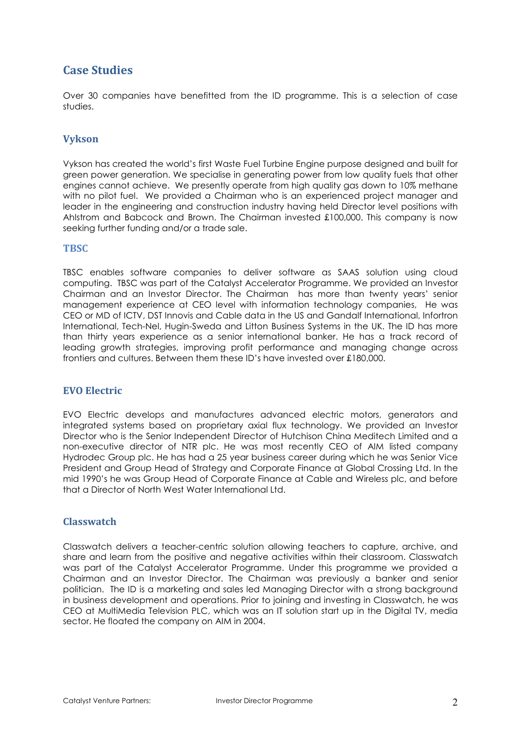## **Case Studies**

Over 30 companies have benefitted from the ID programme. This is a selection of case studies.

#### **Vykson**

Vykson has created the world's first Waste Fuel Turbine Engine purpose designed and built for green power generation. We specialise in generating power from low quality fuels that other engines cannot achieve. We presently operate from high quality gas down to 10% methane with no pilot fuel. We provided a Chairman who is an experienced project manager and leader in the engineering and construction industry having held Director level positions with Ahlstrom and Babcock and Brown. The Chairman invested £100,000. This company is now seeking further funding and/or a trade sale.

#### **TBSC**

TBSC enables software companies to deliver software as SAAS solution using cloud computing. TBSC was part of the Catalyst Accelerator Programme. We provided an Investor Chairman and an Investor Director. The Chairman has more than twenty years' senior management experience at CEO level with information technology companies, He was CEO or MD of ICTV, DST Innovis and Cable data in the US and Gandalf International, Infortron International, Tech-Nel, Hugin-Sweda and Litton Business Systems in the UK. The ID has more than thirty years experience as a senior international banker. He has a track record of leading growth strategies, improving profit performance and managing change across frontiers and cultures. Between them these ID's have invested over £180,000.

#### **EVO Electric**

EVO Electric develops and manufactures advanced electric motors, generators and integrated systems based on proprietary axial flux technology. We provided an Investor Director who is the Senior Independent Director of Hutchison China Meditech Limited and a non-executive director of NTR plc. He was most recently CEO of AIM listed company Hydrodec Group plc. He has had a 25 year business career during which he was Senior Vice President and Group Head of Strategy and Corporate Finance at Global Crossing Ltd. In the mid 1990's he was Group Head of Corporate Finance at Cable and Wireless plc, and before that a Director of North West Water International Ltd.

#### **Classwatch**

Classwatch delivers a teacher-centric solution allowing teachers to capture, archive, and share and learn from the positive and negative activities within their classroom. Classwatch was part of the Catalyst Accelerator Programme. Under this programme we provided a Chairman and an Investor Director. The Chairman was previously a banker and senior politician. The ID is a marketing and sales led Managing Director with a strong background in business development and operations. Prior to joining and investing in Classwatch, he was CEO at MultiMedia Television PLC, which was an IT solution start up in the Digital TV, media sector. He floated the company on AIM in 2004.